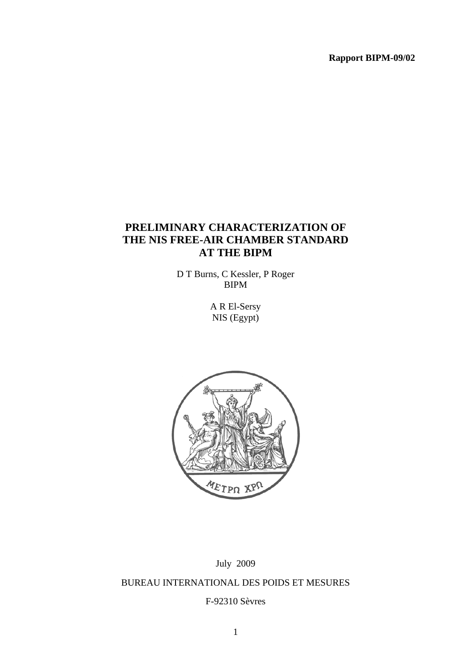**Rapport BIPM-09/02** 

# **PRELIMINARY CHARACTERIZATION OF THE NIS FREE-AIR CHAMBER STANDARD AT THE BIPM**

D T Burns, C Kessler, P Roger BIPM

> A R El-Sersy NIS (Egypt)



# July 2009 BUREAU INTERNATIONAL DES POIDS ET MESURES

F-92310 Sèvres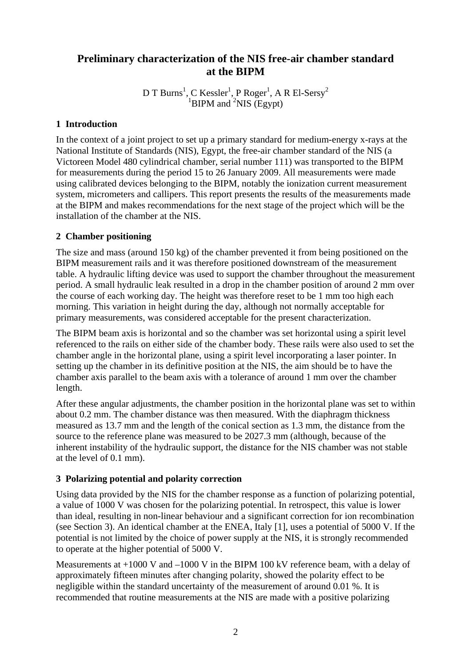# **Preliminary characterization of the NIS free-air chamber standard at the BIPM**

D T Burns<sup>1</sup>, C Kessler<sup>1</sup>, P Roger<sup>1</sup>, A R El-Sersy<sup>2</sup> <sup>1</sup>BIPM and  ${}^{2}NIS$  (Egypt)

# **1 Introduction**

In the context of a joint project to set up a primary standard for medium-energy x-rays at the National Institute of Standards (NIS), Egypt, the free-air chamber standard of the NIS (a Victoreen Model 480 cylindrical chamber, serial number 111) was transported to the BIPM for measurements during the period 15 to 26 January 2009. All measurements were made using calibrated devices belonging to the BIPM, notably the ionization current measurement system, micrometers and callipers. This report presents the results of the measurements made at the BIPM and makes recommendations for the next stage of the project which will be the installation of the chamber at the NIS.

# **2 Chamber positioning**

The size and mass (around 150 kg) of the chamber prevented it from being positioned on the BIPM measurement rails and it was therefore positioned downstream of the measurement table. A hydraulic lifting device was used to support the chamber throughout the measurement period. A small hydraulic leak resulted in a drop in the chamber position of around 2 mm over the course of each working day. The height was therefore reset to be 1 mm too high each morning. This variation in height during the day, although not normally acceptable for primary measurements, was considered acceptable for the present characterization.

The BIPM beam axis is horizontal and so the chamber was set horizontal using a spirit level referenced to the rails on either side of the chamber body. These rails were also used to set the chamber angle in the horizontal plane, using a spirit level incorporating a laser pointer. In setting up the chamber in its definitive position at the NIS, the aim should be to have the chamber axis parallel to the beam axis with a tolerance of around 1 mm over the chamber length.

After these angular adjustments, the chamber position in the horizontal plane was set to within about 0.2 mm. The chamber distance was then measured. With the diaphragm thickness measured as 13.7 mm and the length of the conical section as 1.3 mm, the distance from the source to the reference plane was measured to be 2027.3 mm (although, because of the inherent instability of the hydraulic support, the distance for the NIS chamber was not stable at the level of 0.1 mm).

# **3 Polarizing potential and polarity correction**

Using data provided by the NIS for the chamber response as a function of polarizing potential, a value of 1000 V was chosen for the polarizing potential. In retrospect, this value is lower than ideal, resulting in non-linear behaviour and a significant correction for ion recombination (see Section 3). An identical chamber at the ENEA, Italy [1], uses a potential of 5000 V. If the potential is not limited by the choice of power supply at the NIS, it is strongly recommended to operate at the higher potential of 5000 V.

Measurements at +1000 V and –1000 V in the BIPM 100 kV reference beam, with a delay of approximately fifteen minutes after changing polarity, showed the polarity effect to be negligible within the standard uncertainty of the measurement of around 0.01 %. It is recommended that routine measurements at the NIS are made with a positive polarizing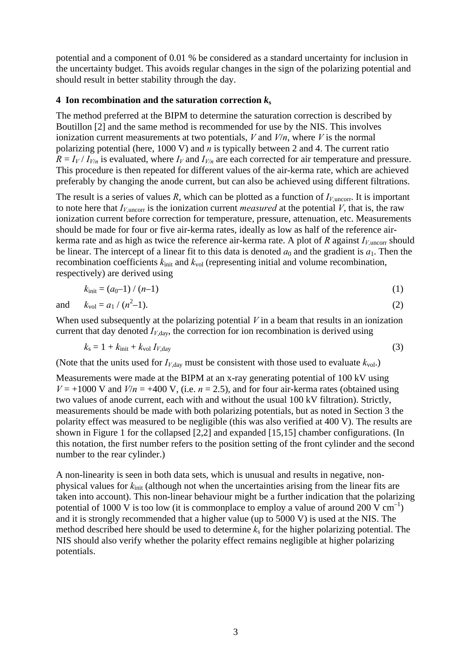potential and a component of 0.01 % be considered as a standard uncertainty for inclusion in the uncertainty budget. This avoids regular changes in the sign of the polarizing potential and should result in better stability through the day.

#### **4** Ion recombination and the saturation correction  $k_s$

The method preferred at the BIPM to determine the saturation correction is described by Boutillon [2] and the same method is recommended for use by the NIS. This involves ionization current measurements at two potentials, *V* and *V*/*n*, where *V* is the normal polarizing potential (here, 1000 V) and *n* is typically between 2 and 4. The current ratio  $R = I_V/I_{V/n}$  is evaluated, where  $I_V$  and  $I_{V/n}$  are each corrected for air temperature and pressure. This procedure is then repeated for different values of the air-kerma rate, which are achieved preferably by changing the anode current, but can also be achieved using different filtrations.

The result is a series of values  $R$ , which can be plotted as a function of  $I_{V,\text{uncorr}}$ . It is important to note here that  $I_{V,\text{uncorr}}$  is the ionization current *measured* at the potential *V*, that is, the raw ionization current before correction for temperature, pressure, attenuation, etc. Measurements should be made for four or five air-kerma rates, ideally as low as half of the reference airkerma rate and as high as twice the reference air-kerma rate. A plot of  $R$  against  $I_{V,\text{uncorr}}$  should be linear. The intercept of a linear fit to this data is denoted  $a_0$  and the gradient is  $a_1$ . Then the recombination coefficients  $k_{\text{init}}$  and  $k_{\text{vol}}$  (representing initial and volume recombination, respectively) are derived using

$$
k_{\text{init}} = (a_0 - 1) / (n - 1) \tag{1}
$$

and  $k_{\text{vol}} = a_1 / (n^2)$  $(-1).$  (2)

When used subsequently at the polarizing potential *V* in a beam that results in an ionization current that day denoted  $I_{V, \text{day}}$ , the correction for ion recombination is derived using

$$
k_{\rm s} = 1 + k_{\rm init} + k_{\rm vol} I_{V, \rm day} \tag{3}
$$

(Note that the units used for  $I_{V, \text{day}}$  must be consistent with those used to evaluate  $k_{\text{vol}}$ .)

Measurements were made at the BIPM at an x-ray generating potential of 100 kV using  $V = +1000$  V and  $V/n = +400$  V, (i.e.  $n = 2.5$ ), and for four air-kerma rates (obtained using two values of anode current, each with and without the usual 100 kV filtration). Strictly, measurements should be made with both polarizing potentials, but as noted in Section 3 the polarity effect was measured to be negligible (this was also verified at 400 V). The results are shown in Figure 1 for the collapsed [2,2] and expanded [15,15] chamber configurations. (In this notation, the first number refers to the position setting of the front cylinder and the second number to the rear cylinder.)

A non-linearity is seen in both data sets, which is unusual and results in negative, nonphysical values for *k*init (although not when the uncertainties arising from the linear fits are taken into account). This non-linear behaviour might be a further indication that the polarizing potential of 1000 V is too low (it is commonplace to employ a value of around 200 V  $cm^{-1}$ ) and it is strongly recommended that a higher value (up to 5000 V) is used at the NIS. The method described here should be used to determine *k*s for the higher polarizing potential. The NIS should also verify whether the polarity effect remains negligible at higher polarizing potentials.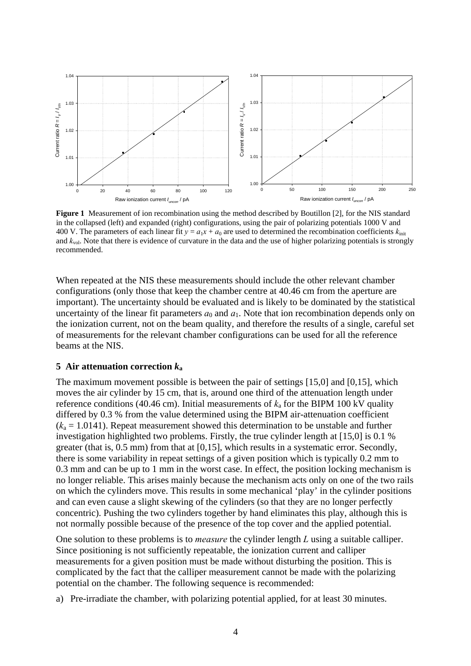

**Figure 1** Measurement of ion recombination using the method described by Boutillon [2], for the NIS standard in the collapsed (left) and expanded (right) configurations, using the pair of polarizing potentials 1000 V and 400 V. The parameters of each linear fit  $y = a_1x + a_0$  are used to determined the recombination coefficients  $k_{\text{init}}$ and *k*vol. Note that there is evidence of curvature in the data and the use of higher polarizing potentials is strongly recommended.

When repeated at the NIS these measurements should include the other relevant chamber configurations (only those that keep the chamber centre at 40.46 cm from the aperture are important). The uncertainty should be evaluated and is likely to be dominated by the statistical uncertainty of the linear fit parameters  $a_0$  and  $a_1$ . Note that ion recombination depends only on the ionization current, not on the beam quality, and therefore the results of a single, careful set of measurements for the relevant chamber configurations can be used for all the reference beams at the NIS.

#### **5 Air attenuation correction** *k***<sup>a</sup>**

The maximum movement possible is between the pair of settings [15,0] and [0,15], which moves the air cylinder by 15 cm, that is, around one third of the attenuation length under reference conditions (40.46 cm). Initial measurements of  $k_a$  for the BIPM 100 kV quality differed by 0.3 % from the value determined using the BIPM air-attenuation coefficient  $(k_a = 1.0141)$ . Repeat measurement showed this determination to be unstable and further investigation highlighted two problems. Firstly, the true cylinder length at [15,0] is 0.1 % greater (that is, 0.5 mm) from that at [0,15], which results in a systematic error. Secondly, there is some variability in repeat settings of a given position which is typically 0.2 mm to 0.3 mm and can be up to 1 mm in the worst case. In effect, the position locking mechanism is no longer reliable. This arises mainly because the mechanism acts only on one of the two rails on which the cylinders move. This results in some mechanical 'play' in the cylinder positions and can even cause a slight skewing of the cylinders (so that they are no longer perfectly concentric). Pushing the two cylinders together by hand eliminates this play, although this is not normally possible because of the presence of the top cover and the applied potential.

One solution to these problems is to *measure* the cylinder length *L* using a suitable calliper. Since positioning is not sufficiently repeatable, the ionization current and calliper measurements for a given position must be made without disturbing the position. This is complicated by the fact that the calliper measurement cannot be made with the polarizing potential on the chamber. The following sequence is recommended:

a) Pre-irradiate the chamber, with polarizing potential applied, for at least 30 minutes.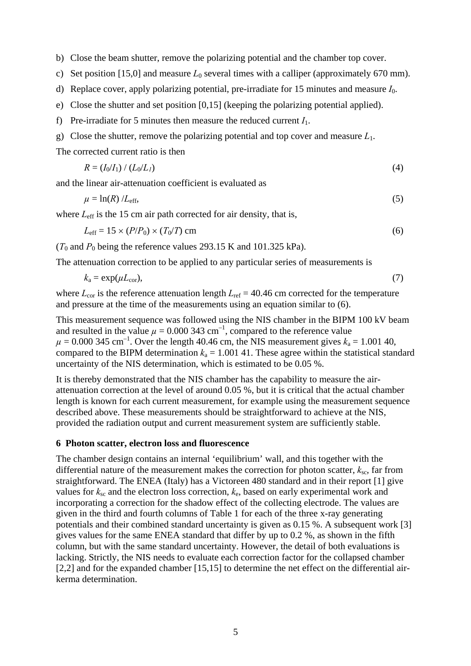b) Close the beam shutter, remove the polarizing potential and the chamber top cover.

- c) Set position [15,0] and measure  $L_0$  several times with a calliper (approximately 670 mm).
- d) Replace cover, apply polarizing potential, pre-irradiate for 15 minutes and measure *I*0.
- e) Close the shutter and set position [0,15] (keeping the polarizing potential applied).
- f) Pre-irradiate for 5 minutes then measure the reduced current *I*1.
- g) Close the shutter, remove the polarizing potential and top cover and measure *L*1.

The corrected current ratio is then

$$
R = (I_0/I_1) / (L_0/L_1)
$$
 (4)

and the linear air-attenuation coefficient is evaluated as

$$
\mu = \ln(R) / L_{\text{eff}},\tag{5}
$$

where  $L_{\text{eff}}$  is the 15 cm air path corrected for air density, that is,

$$
L_{\text{eff}} = 15 \times (P/P_0) \times (T_0/T) \text{ cm} \tag{6}
$$

( $T_0$  and  $P_0$  being the reference values 293.15 K and 101.325 kPa).

The attenuation correction to be applied to any particular series of measurements is

$$
k_{\rm a} = \exp(\mu L_{\rm cor}),\tag{7}
$$

where  $L_{\text{cor}}$  is the reference attenuation length  $L_{\text{ref}} = 40.46$  cm corrected for the temperature and pressure at the time of the measurements using an equation similar to (6).

This measurement sequence was followed using the NIS chamber in the BIPM 100 kV beam and resulted in the value  $\mu = 0.000343 \text{ cm}^{-1}$ , compared to the reference value  $\mu = 0.000$  345 cm<sup>-1</sup>. Over the length 40.46 cm, the NIS measurement gives  $k_a = 1.001$  40, compared to the BIPM determination  $k_a = 1.001$  41. These agree within the statistical standard uncertainty of the NIS determination, which is estimated to be 0.05 %.

It is thereby demonstrated that the NIS chamber has the capability to measure the airattenuation correction at the level of around 0.05 %, but it is critical that the actual chamber length is known for each current measurement, for example using the measurement sequence described above. These measurements should be straightforward to achieve at the NIS, provided the radiation output and current measurement system are sufficiently stable.

#### **6 Photon scatter, electron loss and fluorescence**

The chamber design contains an internal 'equilibrium' wall, and this together with the differential nature of the measurement makes the correction for photon scatter,  $k_{\rm sc}$ , far from straightforward. The ENEA (Italy) has a Victoreen 480 standard and in their report [1] give values for  $k_{\rm sc}$  and the electron loss correction,  $k_{\rm e}$ , based on early experimental work and incorporating a correction for the shadow effect of the collecting electrode. The values are given in the third and fourth columns of Table 1 for each of the three x-ray generating potentials and their combined standard uncertainty is given as 0.15 %. A subsequent work [3] gives values for the same ENEA standard that differ by up to 0.2 %, as shown in the fifth column, but with the same standard uncertainty. However, the detail of both evaluations is lacking. Strictly, the NIS needs to evaluate each correction factor for the collapsed chamber [2,2] and for the expanded chamber [15,15] to determine the net effect on the differential airkerma determination.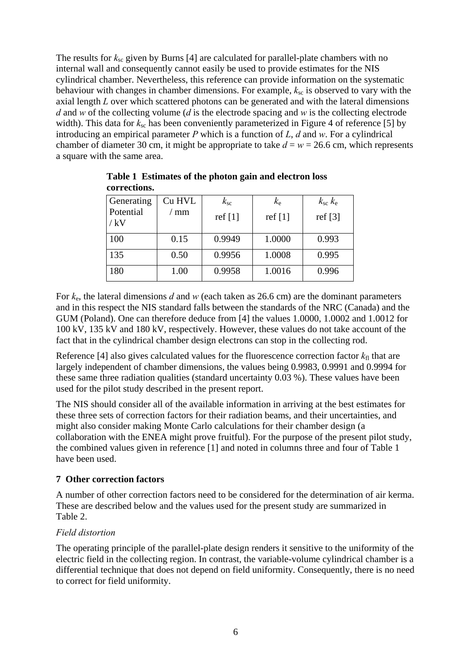The results for  $k_{\rm sc}$  given by Burns [4] are calculated for parallel-plate chambers with no internal wall and consequently cannot easily be used to provide estimates for the NIS cylindrical chamber. Nevertheless, this reference can provide information on the systematic behaviour with changes in chamber dimensions. For example,  $k_{\rm sc}$  is observed to vary with the axial length *L* over which scattered photons can be generated and with the lateral dimensions *d* and *w* of the collecting volume (*d* is the electrode spacing and *w* is the collecting electrode width). This data for  $k_{sc}$  has been conveniently parameterized in Figure 4 of reference [5] by introducing an empirical parameter *P* which is a function of *L*, *d* and *w*. For a cylindrical chamber of diameter 30 cm, it might be appropriate to take  $d = w = 26.6$  cm, which represents a square with the same area.

| Generating<br>Potential<br>/ kV | Cu HVL<br>mm | $k_{\rm sc}$<br>ref $[1]$ | $k_{\rm e}$<br>ref $[1]$ | $k_{\rm sc} k_{\rm e}$<br>ref $[3]$ |
|---------------------------------|--------------|---------------------------|--------------------------|-------------------------------------|
| 100                             | 0.15         | 0.9949                    | 1.0000                   | 0.993                               |
| 135                             | 0.50         | 0.9956                    | 1.0008                   | 0.995                               |
| 180                             | 1.00         | 0.9958                    | 1.0016                   | 0.996                               |

**Table 1 Estimates of the photon gain and electron loss corrections.** 

For *k*e, the lateral dimensions *d* and *w* (each taken as 26.6 cm) are the dominant parameters and in this respect the NIS standard falls between the standards of the NRC (Canada) and the GUM (Poland). One can therefore deduce from [4] the values 1.0000, 1.0002 and 1.0012 for 100 kV, 135 kV and 180 kV, respectively. However, these values do not take account of the fact that in the cylindrical chamber design electrons can stop in the collecting rod.

Reference [4] also gives calculated values for the fluorescence correction factor  $k_{\text{fl}}$  that are largely independent of chamber dimensions, the values being 0.9983, 0.9991 and 0.9994 for these same three radiation qualities (standard uncertainty 0.03 %). These values have been used for the pilot study described in the present report.

The NIS should consider all of the available information in arriving at the best estimates for these three sets of correction factors for their radiation beams, and their uncertainties, and might also consider making Monte Carlo calculations for their chamber design (a collaboration with the ENEA might prove fruitful). For the purpose of the present pilot study, the combined values given in reference [1] and noted in columns three and four of Table 1 have been used.

# **7 Other correction factors**

A number of other correction factors need to be considered for the determination of air kerma. These are described below and the values used for the present study are summarized in Table 2.

# *Field distortion*

The operating principle of the parallel-plate design renders it sensitive to the uniformity of the electric field in the collecting region. In contrast, the variable-volume cylindrical chamber is a differential technique that does not depend on field uniformity. Consequently, there is no need to correct for field uniformity.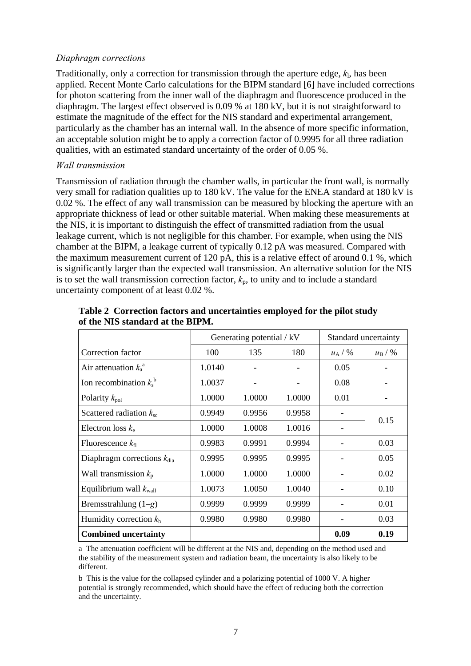#### *Diaphragm corrections*

Traditionally, only a correction for transmission through the aperture edge, *k*l, has been applied. Recent Monte Carlo calculations for the BIPM standard [6] have included corrections for photon scattering from the inner wall of the diaphragm and fluorescence produced in the diaphragm. The largest effect observed is 0.09 % at 180 kV, but it is not straightforward to estimate the magnitude of the effect for the NIS standard and experimental arrangement, particularly as the chamber has an internal wall. In the absence of more specific information, an acceptable solution might be to apply a correction factor of 0.9995 for all three radiation qualities, with an estimated standard uncertainty of the order of 0.05 %.

### *Wall transmission*

Transmission of radiation through the chamber walls, in particular the front wall, is normally very small for radiation qualities up to 180 kV. The value for the ENEA standard at 180 kV is 0.02 %. The effect of any wall transmission can be measured by blocking the aperture with an appropriate thickness of lead or other suitable material. When making these measurements at the NIS, it is important to distinguish the effect of transmitted radiation from the usual leakage current, which is not negligible for this chamber. For example, when using the NIS chamber at the BIPM, a leakage current of typically 0.12 pA was measured. Compared with the maximum measurement current of 120 pA, this is a relative effect of around 0.1 %, which is significantly larger than the expected wall transmission. An alternative solution for the NIS is to set the wall transmission correction factor,  $k<sub>p</sub>$ , to unity and to include a standard uncertainty component of at least 0.02 %.

|                                        | Generating potential / kV |        | Standard uncertainty |           |                 |  |
|----------------------------------------|---------------------------|--------|----------------------|-----------|-----------------|--|
| Correction factor                      | 100                       | 135    | 180                  | $u_A / %$ | $u_{\rm B}$ / % |  |
| Air attenuation $k_a^a$                | 1.0140                    |        |                      | 0.05      |                 |  |
| Ion recombination $k_s^b$              | 1.0037                    |        |                      | 0.08      |                 |  |
| Polarity $k_{pol}$                     | 1.0000                    | 1.0000 | 1.0000               | 0.01      |                 |  |
| Scattered radiation $k_{\rm sc}$       | 0.9949                    | 0.9956 | 0.9958               |           |                 |  |
| Electron loss $k_e$                    | 1.0000                    | 1.0008 | 1.0016               |           | 0.15            |  |
| Fluorescence $k_{\rm fl}$              | 0.9983                    | 0.9991 | 0.9994               |           | 0.03            |  |
| Diaphragm corrections $k_{\text{dia}}$ | 0.9995                    | 0.9995 | 0.9995               |           | 0.05            |  |
| Wall transmission $k_p$                | 1.0000                    | 1.0000 | 1.0000               |           | 0.02            |  |
| Equilibrium wall $k_{\text{wall}}$     | 1.0073                    | 1.0050 | 1.0040               |           | 0.10            |  |
| Bremsstrahlung $(1-g)$                 | 0.9999                    | 0.9999 | 0.9999               |           | 0.01            |  |
| Humidity correction $kh$               | 0.9980                    | 0.9980 | 0.9980               |           | 0.03            |  |
| <b>Combined uncertainty</b>            |                           |        |                      | 0.09      | 0.19            |  |

**Table 2 Correction factors and uncertainties employed for the pilot study of the NIS standard at the BIPM.** 

a The attenuation coefficient will be different at the NIS and, depending on the method used and the stability of the measurement system and radiation beam, the uncertainty is also likely to be different.

b This is the value for the collapsed cylinder and a polarizing potential of 1000 V. A higher potential is strongly recommended, which should have the effect of reducing both the correction and the uncertainty.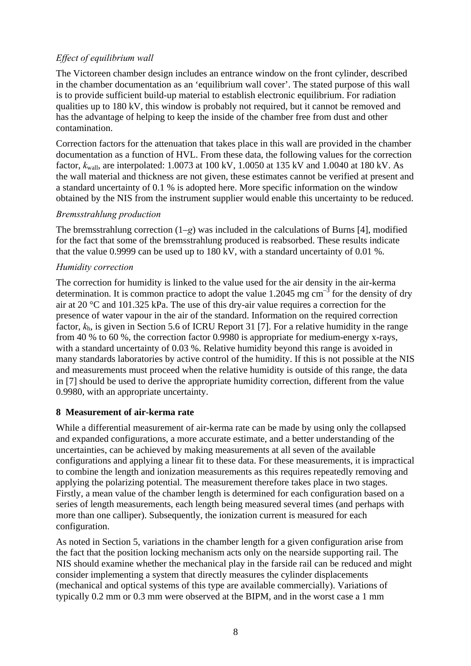# *Effect of equilibrium wall*

The Victoreen chamber design includes an entrance window on the front cylinder, described in the chamber documentation as an 'equilibrium wall cover'. The stated purpose of this wall is to provide sufficient build-up material to establish electronic equilibrium. For radiation qualities up to 180 kV, this window is probably not required, but it cannot be removed and has the advantage of helping to keep the inside of the chamber free from dust and other contamination.

Correction factors for the attenuation that takes place in this wall are provided in the chamber documentation as a function of HVL. From these data, the following values for the correction factor, *k*wall, are interpolated: 1.0073 at 100 kV, 1.0050 at 135 kV and 1.0040 at 180 kV. As the wall material and thickness are not given, these estimates cannot be verified at present and a standard uncertainty of 0.1 % is adopted here. More specific information on the window obtained by the NIS from the instrument supplier would enable this uncertainty to be reduced.

# *Bremsstrahlung production*

The bremsstrahlung correction (1–*g*) was included in the calculations of Burns [4], modified for the fact that some of the bremsstrahlung produced is reabsorbed. These results indicate that the value 0.9999 can be used up to 180 kV, with a standard uncertainty of 0.01 %.

# *Humidity correction*

The correction for humidity is linked to the value used for the air density in the air-kerma determination. It is common practice to adopt the value  $1.2045$  mg cm<sup>-3</sup> for the density of dry air at 20 °C and 101.325 kPa. The use of this dry-air value requires a correction for the presence of water vapour in the air of the standard. Information on the required correction factor, *k*h, is given in Section 5.6 of ICRU Report 31 [7]. For a relative humidity in the range from 40 % to 60 %, the correction factor 0.9980 is appropriate for medium-energy x-rays, with a standard uncertainty of 0.03 %. Relative humidity beyond this range is avoided in many standards laboratories by active control of the humidity. If this is not possible at the NIS and measurements must proceed when the relative humidity is outside of this range, the data in [7] should be used to derive the appropriate humidity correction, different from the value 0.9980, with an appropriate uncertainty.

# **8 Measurement of air-kerma rate**

While a differential measurement of air-kerma rate can be made by using only the collapsed and expanded configurations, a more accurate estimate, and a better understanding of the uncertainties, can be achieved by making measurements at all seven of the available configurations and applying a linear fit to these data. For these measurements, it is impractical to combine the length and ionization measurements as this requires repeatedly removing and applying the polarizing potential. The measurement therefore takes place in two stages. Firstly, a mean value of the chamber length is determined for each configuration based on a series of length measurements, each length being measured several times (and perhaps with more than one calliper). Subsequently, the ionization current is measured for each configuration.

As noted in Section 5, variations in the chamber length for a given configuration arise from the fact that the position locking mechanism acts only on the nearside supporting rail. The NIS should examine whether the mechanical play in the farside rail can be reduced and might consider implementing a system that directly measures the cylinder displacements (mechanical and optical systems of this type are available commercially). Variations of typically 0.2 mm or 0.3 mm were observed at the BIPM, and in the worst case a 1 mm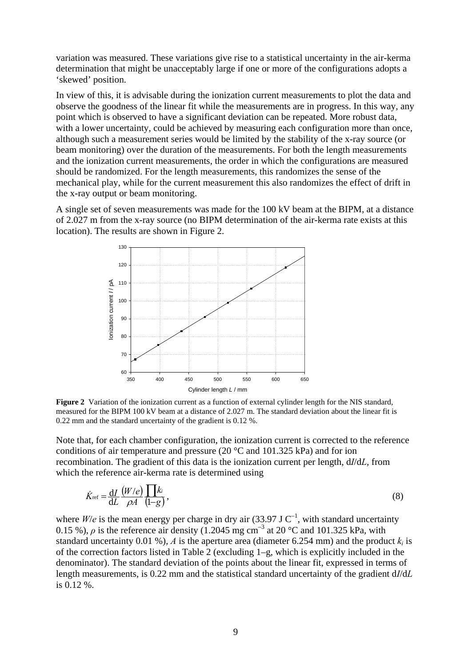variation was measured. These variations give rise to a statistical uncertainty in the air-kerma determination that might be unacceptably large if one or more of the configurations adopts a 'skewed' position.

In view of this, it is advisable during the ionization current measurements to plot the data and observe the goodness of the linear fit while the measurements are in progress. In this way, any point which is observed to have a significant deviation can be repeated. More robust data, with a lower uncertainty, could be achieved by measuring each configuration more than once, although such a measurement series would be limited by the stability of the x-ray source (or beam monitoring) over the duration of the measurements. For both the length measurements and the ionization current measurements, the order in which the configurations are measured should be randomized. For the length measurements, this randomizes the sense of the mechanical play, while for the current measurement this also randomizes the effect of drift in the x-ray output or beam monitoring.

A single set of seven measurements was made for the 100 kV beam at the BIPM, at a distance of 2.027 m from the x-ray source (no BIPM determination of the air-kerma rate exists at this location). The results are shown in Figure 2.



**Figure 2** Variation of the ionization current as a function of external cylinder length for the NIS standard, measured for the BIPM 100 kV beam at a distance of 2.027 m. The standard deviation about the linear fit is 0.22 mm and the standard uncertainty of the gradient is 0.12 %.

Note that, for each chamber configuration, the ionization current is corrected to the reference conditions of air temperature and pressure (20 °C and 101.325 kPa) and for ion recombination. The gradient of this data is the ionization current per length, d*I*/d*L*, from which the reference air-kerma rate is determined using

$$
\dot{K}_{\text{ref}} = \frac{\mathrm{d}I}{\mathrm{d}L} \frac{\left(W/e\right)}{\rho A} \prod_{i=1}^{k} k_i \tag{8}
$$

where  $W/e$  is the mean energy per charge in dry air (33.97 J C<sup>-1</sup>, with standard uncertainty 0.15 %),  $\rho$  is the reference air density (1.2045 mg cm<sup>-3</sup> at 20 °C and 101.325 kPa, with standard uncertainty 0.01 %), *A* is the aperture area (diameter 6.254 mm) and the product  $k_i$  is of the correction factors listed in Table 2 (excluding 1–g, which is explicitly included in the denominator). The standard deviation of the points about the linear fit, expressed in terms of length measurements, is 0.22 mm and the statistical standard uncertainty of the gradient d*I*/d*L* is 0.12 %.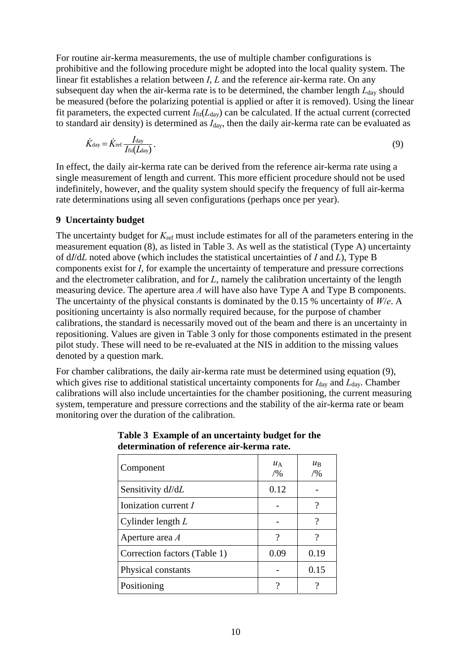For routine air-kerma measurements, the use of multiple chamber configurations is prohibitive and the following procedure might be adopted into the local quality system. The linear fit establishes a relation between *I*, *L* and the reference air-kerma rate. On any subsequent day when the air-kerma rate is to be determined, the chamber length  $L_{\text{day}}$  should be measured (before the polarizing potential is applied or after it is removed). Using the linear fit parameters, the expected current  $I_{\text{fit}}(L_{\text{day}})$  can be calculated. If the actual current (corrected to standard air density) is determined as *I*day, then the daily air-kerma rate can be evaluated as

$$
\dot{K}_{\text{day}} = \dot{K}_{\text{ref}} \frac{I_{\text{day}}}{I_{\text{fit}}(L_{\text{day}})}.
$$
\n(9)

In effect, the daily air-kerma rate can be derived from the reference air-kerma rate using a single measurement of length and current. This more efficient procedure should not be used indefinitely, however, and the quality system should specify the frequency of full air-kerma rate determinations using all seven configurations (perhaps once per year).

#### **9 Uncertainty budget**

The uncertainty budget for  $K_{\text{ref}}$  must include estimates for all of the parameters entering in the measurement equation (8), as listed in Table 3. As well as the statistical (Type A) uncertainty of d*I*/d*L* noted above (which includes the statistical uncertainties of *I* and *L*), Type B components exist for *I*, for example the uncertainty of temperature and pressure corrections and the electrometer calibration, and for *L*, namely the calibration uncertainty of the length measuring device. The aperture area *A* will have also have Type A and Type B components. The uncertainty of the physical constants is dominated by the 0.15 % uncertainty of *W*/*e*. A positioning uncertainty is also normally required because, for the purpose of chamber calibrations, the standard is necessarily moved out of the beam and there is an uncertainty in repositioning. Values are given in Table 3 only for those components estimated in the present pilot study. These will need to be re-evaluated at the NIS in addition to the missing values denoted by a question mark.

For chamber calibrations, the daily air-kerma rate must be determined using equation (9), which gives rise to additional statistical uncertainty components for  $I_{\text{day}}$  and  $L_{\text{day}}$ . Chamber calibrations will also include uncertainties for the chamber positioning, the current measuring system, temperature and pressure corrections and the stability of the air-kerma rate or beam monitoring over the duration of the calibration.

| Component                    | $u_{\rm A}$<br>/9/0 | $\mathcal{U}_\mathrm{B}$<br>/9/0 |
|------------------------------|---------------------|----------------------------------|
| Sensitivity dI/dL            | 0.12                |                                  |
| Ionization current $I$       |                     | 9                                |
| Cylinder length $L$          |                     | ?                                |
| Aperture area A              | ?                   | ?                                |
| Correction factors (Table 1) | 0.09                | 0.19                             |
| Physical constants           |                     | 0.15                             |
| Positioning                  | າ                   |                                  |

**Table 3 Example of an uncertainty budget for the determination of reference air-kerma rate.**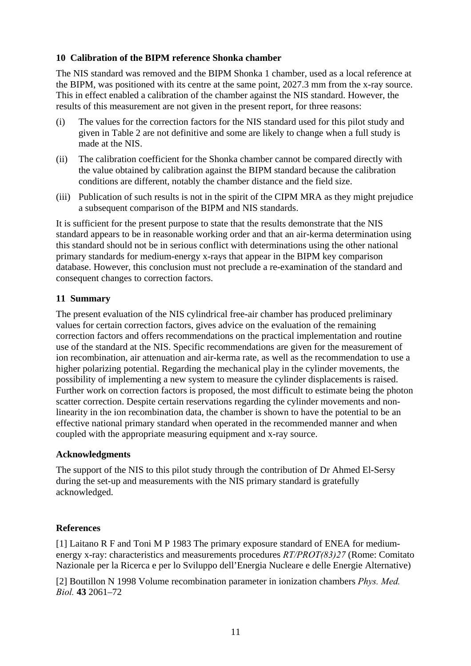# **10 Calibration of the BIPM reference Shonka chamber**

The NIS standard was removed and the BIPM Shonka 1 chamber, used as a local reference at the BIPM, was positioned with its centre at the same point, 2027.3 mm from the x-ray source. This in effect enabled a calibration of the chamber against the NIS standard. However, the results of this measurement are not given in the present report, for three reasons:

- (i) The values for the correction factors for the NIS standard used for this pilot study and given in Table 2 are not definitive and some are likely to change when a full study is made at the NIS.
- (ii) The calibration coefficient for the Shonka chamber cannot be compared directly with the value obtained by calibration against the BIPM standard because the calibration conditions are different, notably the chamber distance and the field size.
- (iii) Publication of such results is not in the spirit of the CIPM MRA as they might prejudice a subsequent comparison of the BIPM and NIS standards.

It is sufficient for the present purpose to state that the results demonstrate that the NIS standard appears to be in reasonable working order and that an air-kerma determination using this standard should not be in serious conflict with determinations using the other national primary standards for medium-energy x-rays that appear in the BIPM key comparison database. However, this conclusion must not preclude a re-examination of the standard and consequent changes to correction factors.

# **11 Summary**

The present evaluation of the NIS cylindrical free-air chamber has produced preliminary values for certain correction factors, gives advice on the evaluation of the remaining correction factors and offers recommendations on the practical implementation and routine use of the standard at the NIS. Specific recommendations are given for the measurement of ion recombination, air attenuation and air-kerma rate, as well as the recommendation to use a higher polarizing potential. Regarding the mechanical play in the cylinder movements, the possibility of implementing a new system to measure the cylinder displacements is raised. Further work on correction factors is proposed, the most difficult to estimate being the photon scatter correction. Despite certain reservations regarding the cylinder movements and nonlinearity in the ion recombination data, the chamber is shown to have the potential to be an effective national primary standard when operated in the recommended manner and when coupled with the appropriate measuring equipment and x-ray source.

# **Acknowledgments**

The support of the NIS to this pilot study through the contribution of Dr Ahmed El-Sersy during the set-up and measurements with the NIS primary standard is gratefully acknowledged.

# **References**

[1] Laitano R F and Toni M P 1983 The primary exposure standard of ENEA for mediumenergy x-ray: characteristics and measurements procedures *RT/PROT(83)27* (Rome: Comitato Nazionale per la Ricerca e per lo Sviluppo dell'Energia Nucleare e delle Energie Alternative)

[2] Boutillon N 1998 Volume recombination parameter in ionization chambers *Phys. Med. Biol.* **43** 2061–72